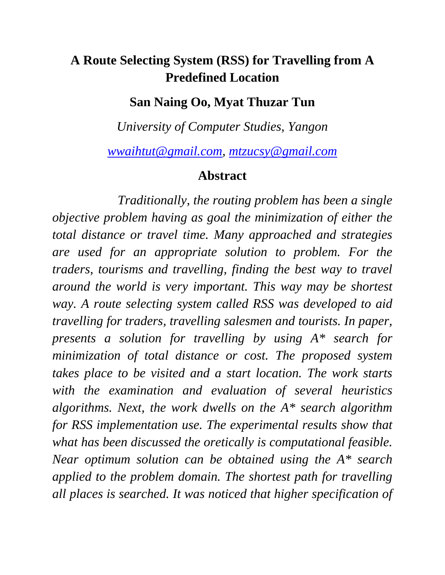## **A Route Selecting System (RSS) for Travelling from A Predefined Location**

## **San Naing Oo, Myat Thuzar Tun**

*University of Computer Studies, Yangon* 

*wwaihtut@gmail.com, mtzucsy@gmail.com*

## **Abstract**

 *Traditionally, the routing problem has been a single objective problem having as goal the minimization of either the total distance or travel time. Many approached and strategies are used for an appropriate solution to problem. For the traders, tourisms and travelling, finding the best way to travel around the world is very important. This way may be shortest way. A route selecting system called RSS was developed to aid travelling for traders, travelling salesmen and tourists. In paper, presents a solution for travelling by using A\* search for minimization of total distance or cost. The proposed system takes place to be visited and a start location. The work starts with the examination and evaluation of several heuristics algorithms. Next, the work dwells on the A\* search algorithm for RSS implementation use. The experimental results show that what has been discussed the oretically is computational feasible. Near optimum solution can be obtained using the A\* search applied to the problem domain. The shortest path for travelling all places is searched. It was noticed that higher specification of*